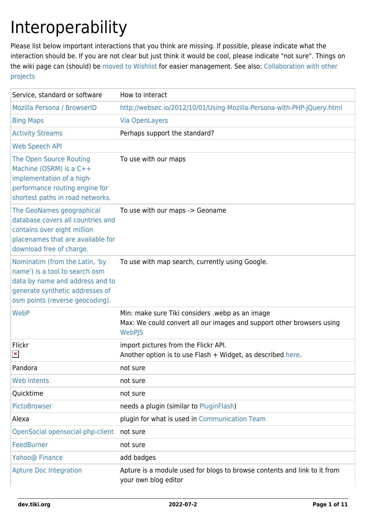# Interoperability

Please list below important interactions that you think are missing. If possible, please indicate what the interaction should be. If you are not clear but just think it would be cool, please indicate "not sure". Things on the wiki page can (should) be [moved to Wishlist](https://dev.tiki.org/Add%20to%20Wishlist) for easier management. See also: [Collaboration with other](https://dev.tiki.org/Collaboration-with-other-projects) [projects](https://dev.tiki.org/Collaboration-with-other-projects)

| Service, standard or software                                                                                                                                             | How to interact                                                                                                                    |
|---------------------------------------------------------------------------------------------------------------------------------------------------------------------------|------------------------------------------------------------------------------------------------------------------------------------|
| Mozilla Persona / BrowserID                                                                                                                                               | http://websec.io/2012/10/01/Using-Mozilla-Persona-with-PHP-jQuery.html                                                             |
| <b>Bing Maps</b>                                                                                                                                                          | <b>Via OpenLayers</b>                                                                                                              |
| <b>Activity Streams</b>                                                                                                                                                   | Perhaps support the standard?                                                                                                      |
| <b>Web Speech API</b>                                                                                                                                                     |                                                                                                                                    |
| The Open Source Routing<br>Machine (OSRM) is a C++<br>implementation of a high-<br>performance routing engine for<br>shortest paths in road networks.                     | To use with our maps                                                                                                               |
| The GeoNames geographical<br>database covers all countries and<br>contains over eight million<br>placenames that are available for<br>download free of charge.            | To use with our maps -> Geoname                                                                                                    |
| Nominatim (from the Latin, 'by<br>name') is a tool to search osm<br>data by name and address and to<br>generate synthetic addresses of<br>osm points (reverse geocoding). | To use with map search, currently using Google.                                                                                    |
| WebP                                                                                                                                                                      | Min: make sure Tiki considers .webp as an image<br>Max: We could convert all our images and support other browsers using<br>WebPJS |
| Flickr<br>$\pmb{\times}$                                                                                                                                                  | import pictures from the Flickr API.<br>Another option is to use Flash + Widget, as described here.                                |
| Pandora                                                                                                                                                                   | not sure                                                                                                                           |
| <b>Web Intents</b>                                                                                                                                                        | not sure                                                                                                                           |
| Quicktime                                                                                                                                                                 | not sure                                                                                                                           |
| PictoBrowser                                                                                                                                                              | needs a plugin (similar to PluginFlash)                                                                                            |
| Alexa                                                                                                                                                                     | plugin for what is used in Communication Team                                                                                      |
| OpenSocial opensocial-php-client                                                                                                                                          | not sure                                                                                                                           |
| FeedBurner                                                                                                                                                                | not sure                                                                                                                           |
| Yahoo@ Finance                                                                                                                                                            | add badges                                                                                                                         |
| <b>Apture Doc Integration</b>                                                                                                                                             | Apture is a module used for blogs to browse contents and link to it from<br>your own blog editor                                   |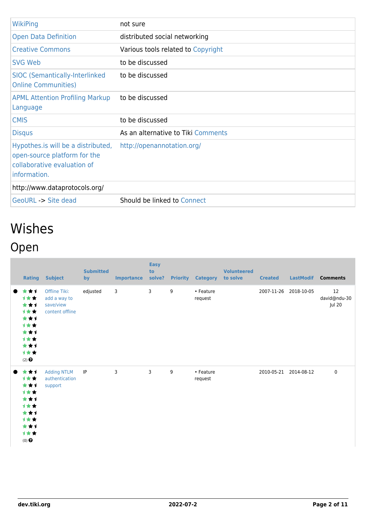| <b>WikiPing</b>                                                                                                    | not sure                           |
|--------------------------------------------------------------------------------------------------------------------|------------------------------------|
| <b>Open Data Definition</b>                                                                                        | distributed social networking      |
| <b>Creative Commons</b>                                                                                            | Various tools related to Copyright |
| SVG Web                                                                                                            | to be discussed                    |
| <b>SIOC (Semantically-Interlinked)</b><br><b>Online Communities)</b>                                               | to be discussed                    |
| <b>APML Attention Profiling Markup</b><br>Language                                                                 | to be discussed                    |
| <b>CMIS</b>                                                                                                        | to be discussed                    |
| <b>Disqus</b>                                                                                                      | As an alternative to Tiki Comments |
|                                                                                                                    |                                    |
| Hypothes. is will be a distributed,<br>open-source platform for the<br>collaborative evaluation of<br>information. | http://openannotation.org/         |
| http://www.dataprotocols.org/                                                                                      |                                    |

## Wishes Open

|           |                                                                                     | <b>Rating Subject</b>                                         | <b>Submitted</b><br>by | <b>Importance</b> | <b>Easy</b><br>to<br>solve? |   | <b>Priority Category</b> | <b>Volunteered</b><br>to solve | <b>Created</b> | <b>LastModif</b>      | <b>Comments</b>              |
|-----------|-------------------------------------------------------------------------------------|---------------------------------------------------------------|------------------------|-------------------|-----------------------------|---|--------------------------|--------------------------------|----------------|-----------------------|------------------------------|
| $\bullet$ | ***<br>计女女<br>***<br>计女女<br>***<br>计女女<br>***<br>***<br>***<br>计女女<br>$(2)$ $\odot$ | Offline Tiki:<br>add a way to<br>save/view<br>content offline | edjusted               | 3                 | 3                           | 9 | • Feature<br>request     |                                | 2007-11-26     | 2018-10-05            | 12<br>david@ndu-30<br>Jul 20 |
| $\bullet$ | ***<br>***<br>***<br>计女女<br>***<br>计女女<br>***<br>计女女<br>***<br>计女女<br>$(0)$ $\odot$ | <b>Adding NTLM</b><br>authentication<br>support               | IP                     | 3                 | 3                           | 9 | • Feature<br>request     |                                |                | 2010-05-21 2014-08-12 | 0                            |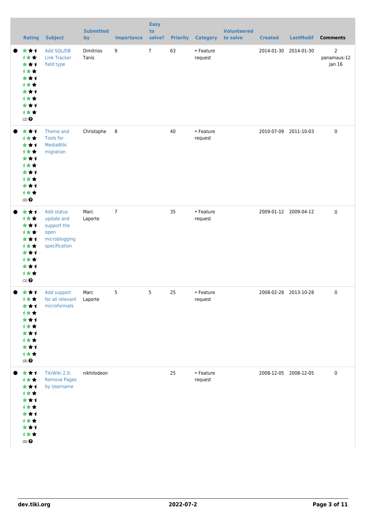| <b>Rating</b>                                                                                 | <b>Subject</b>                                                                    | <b>Submitted</b><br>by | <b>Importance</b> | <b>Easy</b><br>to<br>solve? | <b>Priority</b> | <b>Category</b>      | <b>Volunteered</b><br>to solve | <b>Created</b> | <b>LastModif</b>      | <b>Comments</b>                         |
|-----------------------------------------------------------------------------------------------|-----------------------------------------------------------------------------------|------------------------|-------------------|-----------------------------|-----------------|----------------------|--------------------------------|----------------|-----------------------|-----------------------------------------|
| ***<br>计女女<br>***<br>计女女<br>***<br>计女女<br>***<br>计女女<br>***<br>计女女<br>$(2)$ $\odot$           | Add SQL/DB<br><b>Link Tracker</b><br>field type                                   | Dimitrios<br>Tanis     | 9                 | $7\overline{ }$             | 63              | • Feature<br>request |                                | 2014-01-30     | 2014-01-30            | $\overline{2}$<br>panamaus-12<br>Jan 16 |
| ***<br>计女女<br>***<br>计女女<br>***<br>计女女<br>***<br>计女女<br>***<br>计女女<br>$(0)$ $\odot$           | Theme and<br><b>Tools for</b><br>MediaWiki<br>migration                           | Christophe             | 8                 |                             | 40              | • Feature<br>request |                                | 2010-07-09     | 2011-10-03            | $\pmb{0}$                               |
| ***<br>计女女<br>***<br>计女女<br>***<br>计女女<br>***<br>计女女<br>***<br>计女女<br>$(1)$<br>$\pmb{\Theta}$ | Add status<br>update and<br>support the<br>open<br>microblogging<br>specification | Marc<br>Laporte        | $\overline{7}$    |                             | 35              | • Feature<br>request |                                |                | 2009-01-12 2009-04-12 | $\pmb{0}$                               |
| ● ★★1<br>计女女<br>***<br>计女女<br>***<br>计女女<br>***<br>计女女<br>***<br>计女女<br>$(0)$ $\odot$         | Add support<br>for all relevant  Laporte<br>microformats                          | Marc                   | 5                 | 5                           | 25              | • Feature<br>request |                                |                | 2008-02-28 2013-10-28 | 0                                       |
| ***<br>计女女<br>***<br>计女女<br>***<br>计女女<br>***<br>计女女<br>***<br>计女女<br>$(0)$ $\odot$           | TikiWiki 2.0:<br><b>Remove Pages</b><br>by Username                               | nikhilodeon            |                   |                             | 25              | • Feature<br>request |                                |                | 2008-12-05 2008-12-05 | 0                                       |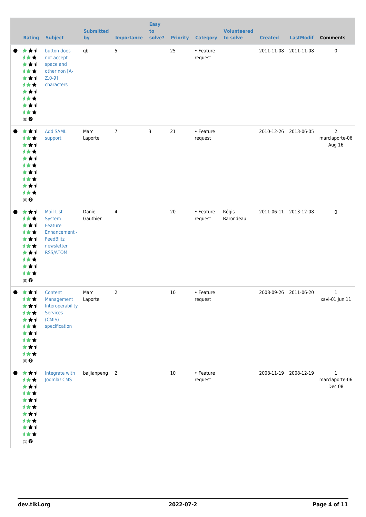| Rating                                                                                          | <b>Subject</b>                                                                                | <b>Submitted</b><br>by | <b>Importance</b> | <b>Easy</b><br>to<br>solve? | <b>Priority</b> | <b>Category</b>      | <b>Volunteered</b><br>to solve | <b>Created</b> | <b>LastModif</b>      | <b>Comments</b>                            |
|-------------------------------------------------------------------------------------------------|-----------------------------------------------------------------------------------------------|------------------------|-------------------|-----------------------------|-----------------|----------------------|--------------------------------|----------------|-----------------------|--------------------------------------------|
| ***<br>计女女<br>***<br>计女女<br>***<br>计女女<br>***<br>计女女<br>***<br>计女女<br>$(0)$ $\odot$             | button does<br>not accept<br>space and<br>other non [A-<br>$Z, 0-9$ ]<br>characters           | qb                     | 5                 |                             | 25              | • Feature<br>request |                                | 2011-11-08     | 2011-11-08            | $\pmb{0}$                                  |
| ***<br>计女女<br>***<br><b>1**</b><br>***<br>计女女<br>***<br>计女女<br>***<br>计女女<br>$(0)$ $\odot$      | <b>Add SAML</b><br>support                                                                    | Marc<br>Laporte        | $\overline{7}$    | $\mathbf{3}$                | 21              | • Feature<br>request |                                |                | 2010-12-26 2013-06-05 | $\overline{2}$<br>marclaporte-06<br>Aug 16 |
| ***<br>计女女<br>***<br>计女女<br>***<br>计女女<br>***<br>***<br>***<br>计女女<br>$(0)$ $\odot$             | Mail-List<br>System<br>Feature<br>Enhancement -<br>FeedBlitz<br>newsletter<br><b>RSS/ATOM</b> | Daniel<br>Gauthier     | 4                 |                             | 20              | • Feature<br>request | Régis<br>Barondeau             |                | 2011-06-11 2013-12-08 | $\mathbf 0$                                |
| ● ★★★<br>计女女<br>***<br>计女女<br>***<br>计女女<br>***<br>计女女<br>***<br>1★★<br>$(0)$<br>$\pmb{\Theta}$ | Content<br>Management<br>Interoperability<br><b>Services</b><br>(CMIS)<br>specification       | Marc<br>Laporte        | 2                 |                             | 10              | • Feature<br>request |                                |                | 2008-09-26 2011-06-20 | 1<br>xavi-01 Jun 11                        |
| ***<br>1★★<br>***<br>计女女<br>***<br>计女女<br>***<br>计女女<br>***<br>计女女<br>$(1)$ $\odot$             | Integrate with<br>Joomla! CMS                                                                 | baijianpeng 2          |                   |                             | 10              | • Feature<br>request |                                |                | 2008-11-19 2008-12-19 | 1<br>marclaporte-06<br>Dec 08              |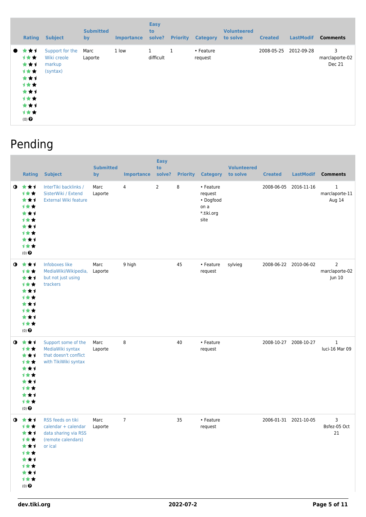|           | <b>Rating</b>                                                                              | <b>Subject</b>                                       | <b>Submitted</b><br>by | <b>Importance</b> | <b>Easy</b><br>to<br>solve? | <b>Priority</b> | <b>Category</b>      | <b>Volunteered</b><br>to solve | <b>Created</b> | <b>LastModif</b> | <b>Comments</b>               |
|-----------|--------------------------------------------------------------------------------------------|------------------------------------------------------|------------------------|-------------------|-----------------------------|-----------------|----------------------|--------------------------------|----------------|------------------|-------------------------------|
| $\bullet$ | ★★1<br><b>1**</b><br>***<br>1★★<br>***<br>计女女<br>***<br>计女女<br>***<br>计女女<br>$(0)$ $\odot$ | Support for the<br>Wiki creole<br>markup<br>(syntax) | Marc<br>Laporte        | 1 low             | 1<br>difficult              | 1               | • Feature<br>request |                                | 2008-05-25     | 2012-09-28       | 3<br>marclaporte-02<br>Dec 21 |

### Pending

|             | <b>Rating</b>                                                                                             | <b>Subject</b>                                                                                    | <b>Submitted</b><br>by | <b>Importance</b> | <b>Easy</b><br>to<br>solve? | <b>Priority</b> | <b>Category</b>                                                 | <b>Volunteered</b><br>to solve | <b>Created</b>        | <b>LastModif</b> | <b>Comments</b>                            |
|-------------|-----------------------------------------------------------------------------------------------------------|---------------------------------------------------------------------------------------------------|------------------------|-------------------|-----------------------------|-----------------|-----------------------------------------------------------------|--------------------------------|-----------------------|------------------|--------------------------------------------|
| $\bullet$   | ***<br>计女女<br>***<br><b>1**</b><br>★★1<br><b>1**</b><br>***<br><b>1**</b><br>***<br>才女女<br>$(0)$ $\Theta$ | InterTiki backlinks /<br>SisterWiki / Extend<br><b>External Wiki feature</b>                      | Marc<br>Laporte        | 4                 | $\overline{2}$              | 8               | • Feature<br>request<br>• Dogfood<br>on a<br>*.tiki.org<br>site |                                | 2008-06-05            | 2016-11-16       | $\mathbf{1}$<br>marclaporte-11<br>Aug 14   |
| $\bullet$   | ***<br>1★★<br>***<br><b>1**</b><br>***<br><b>1**</b><br>***<br><b>1**</b><br>***<br>才女女<br>$(0)$ $\odot$  | Infoboxes like<br>MediaWiki/Wikipedia,<br>but not just using<br>trackers                          | Marc<br>Laporte        | 9 high            |                             | 45              | • Feature<br>request                                            | sylvieg                        | 2008-06-22 2010-06-02 |                  | $\overline{2}$<br>marclaporte-02<br>Jun 10 |
| $\bullet$   | ***<br>1★★<br>***<br>计女女<br>***<br><b>1**</b><br>***<br><b>1**</b><br>***<br>才女女<br>$(0)$ $\Theta$        | Support some of the<br>MediaWiki syntax<br>that doesn't conflict<br>with TikiWiki syntax          | Marc<br>Laporte        | 8                 |                             | 40              | • Feature<br>request                                            |                                | 2008-10-27 2008-10-27 |                  | $\mathbf{1}$<br>luci-16 Mar 09             |
| $\mathbf o$ | ***<br>1★★<br>***<br>计女女<br>***<br>计女女<br>***<br>计女女<br>***<br>计女女<br>$(0)$ $\odot$                       | RSS feeds on tiki<br>calendar + calendar<br>data sharing via RSS<br>(remote calendars)<br>or ical | Marc<br>Laporte        | $\overline{7}$    |                             | 35              | • Feature<br>request                                            |                                | 2006-01-31 2021-10-05 |                  | 3<br>Bsfez-05 Oct<br>21                    |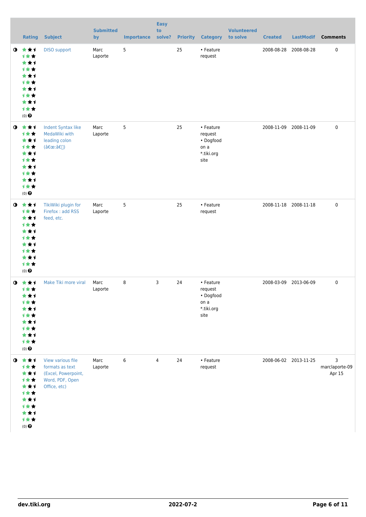|             | Rating                                                                                                   | <b>Subject</b>                                                                                 | <b>Submitted</b><br>by | <b>Importance</b> | <b>Easy</b><br>to<br>solve? |    | <b>Priority Category</b>                                        | <b>Volunteered</b><br>to solve | <b>Created</b> | <b>LastModif</b>      | <b>Comments</b>               |
|-------------|----------------------------------------------------------------------------------------------------------|------------------------------------------------------------------------------------------------|------------------------|-------------------|-----------------------------|----|-----------------------------------------------------------------|--------------------------------|----------------|-----------------------|-------------------------------|
| $\bullet$   | 大女子<br><b>1**</b><br>***<br>才女女<br>***<br><b>1**</b><br>***<br><b>1**</b><br>***<br>计女女<br>$(0)$ $\odot$ | <b>DISO</b> support                                                                            | Marc<br>Laporte        | 5                 |                             | 25 | • Feature<br>request                                            |                                | 2008-08-28     | 2008-08-28            | $\pmb{0}$                     |
| $\bullet$   | 女女子<br>计女女<br>***<br>计女女<br>***<br><b>1**</b><br>***<br>→★★<br>***<br>计女女<br>$(0)$ $\odot$               | Indent Syntax like<br>MedaWiki with<br>leading colon<br>(":â€[])                               | Marc<br>Laporte        | 5                 |                             | 25 | • Feature<br>request<br>• Dogfood<br>on a<br>*.tiki.org<br>site |                                |                | 2008-11-09 2008-11-09 | $\mathbf 0$                   |
| $\bullet$   | ***<br>计女女<br>***<br>才女女<br>***<br>才女女<br>***<br><b>1**</b><br>***<br>计女女<br>$(0)$ $\odot$               | TikiWiki plugin for<br>Firefox: add RSS<br>feed, etc.                                          | Marc<br>Laporte        | 5                 |                             | 25 | • Feature<br>request                                            |                                |                | 2008-11-18 2008-11-18 | $\mathbf 0$                   |
| $\mathbf o$ | 大大大<br>计女女<br>***<br><b>1**</b><br>***<br>才女女<br>***<br><b>1**</b><br>***<br>计女女<br>$(0)$ $\odot$        | Make Tiki more viral                                                                           | Marc<br>Laporte        | 8                 | 3                           | 24 | • Feature<br>request<br>• Dogfood<br>on a<br>*.tiki.org<br>site |                                |                | 2008-03-09 2013-06-09 | $\mathbf 0$                   |
|             | $0$ $\star\star$<br>计女女<br>***<br>才女女<br>★★1<br>计女女<br>***<br>计女女<br>***<br>计女女<br>$(0)$ $\odot$         | View various file<br>formats as text<br>(Excel, Powerpoint,<br>Word, PDF, Open<br>Office, etc) | Marc<br>Laporte        | 6                 | $\overline{4}$              | 24 | • Feature<br>request                                            |                                |                | 2008-06-02 2013-11-25 | 3<br>marclaporte-09<br>Apr 15 |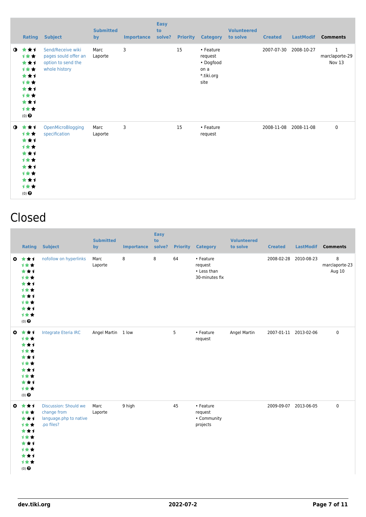|           | <b>Rating</b>                                                                       | <b>Subject</b>                                                                   | <b>Submitted</b><br>by | <b>Importance</b> | <b>Easy</b><br>to<br>solve? |    | <b>Priority Category</b>                                        | <b>Volunteered</b><br>to solve | <b>Created</b> | <b>LastModif</b> | <b>Comments</b>               |
|-----------|-------------------------------------------------------------------------------------|----------------------------------------------------------------------------------|------------------------|-------------------|-----------------------------|----|-----------------------------------------------------------------|--------------------------------|----------------|------------------|-------------------------------|
| $\bullet$ | ***<br>计女女<br>***<br>计女女<br>***<br>计女女<br>***<br>计女女<br>***<br>计女女<br>$(0)$ $\odot$ | Send/Receive wiki<br>pages sould offer an<br>option to send the<br>whole history | Marc<br>Laporte        | 3                 |                             | 15 | • Feature<br>request<br>• Dogfood<br>on a<br>*.tiki.org<br>site |                                | 2007-07-30     | 2008-10-27       | 1<br>marclaporte-29<br>Nov 13 |
| $\bullet$ | ***<br>1★★<br>***<br>计女女<br>***<br>计女女<br>***<br>计女女<br>***<br>计女女<br>$(0)$ $\odot$ | OpenMicroBlogging<br>specification                                               | Marc<br>Laporte        | 3                 |                             | 15 | • Feature<br>request                                            |                                | 2008-11-08     | 2008-11-08       | $\mathbf 0$                   |

#### Closed

| <b>Rating</b>                                                                                                   | <b>Subject</b>                                                               | <b>Submitted</b><br>by | <b>Importance</b> | <b>Easy</b><br>to<br>solve? |    | <b>Priority Category</b>                              | <b>Volunteered</b><br>to solve | <b>Created</b>        | LastModif | <b>Comments</b>               |
|-----------------------------------------------------------------------------------------------------------------|------------------------------------------------------------------------------|------------------------|-------------------|-----------------------------|----|-------------------------------------------------------|--------------------------------|-----------------------|-----------|-------------------------------|
| $0 \pm \pm 1$<br>计女女<br>***<br>1★★<br>***<br>1★★<br>***<br>1★★<br>***<br>计女女<br>$(0)$ $\odot$                   | nofollow on hyperlinks                                                       | Marc<br>Laporte        | 8                 | 8                           | 64 | • Feature<br>request<br>• Less than<br>30-minutes fix |                                | 2008-02-28 2010-08-23 |           | 8<br>marclaporte-23<br>Aug 10 |
| $0 \star \star \star$<br>***<br>***<br>1★★<br>***<br>1★★<br>***<br>计女女<br>***<br>计女女<br>$(0)$<br>$\pmb{\Theta}$ | Integrate Eteria IRC                                                         | Angel Martin 1 low     |                   |                             | 5  | • Feature<br>request                                  | Angel Martin                   | 2007-01-11 2013-02-06 |           | $\mathbf 0$                   |
| $0 \pm \pm 1$<br>1★★<br>***<br>1★★<br>***<br>1**<br>***<br>1★★<br>***<br>计女女<br>(0)                             | Discussion: Should we<br>change from<br>language.php to native<br>.po files? | Marc<br>Laporte        | 9 high            |                             | 45 | • Feature<br>request<br>• Community<br>projects       |                                | 2009-09-07 2013-06-05 |           | $\mathbf 0$                   |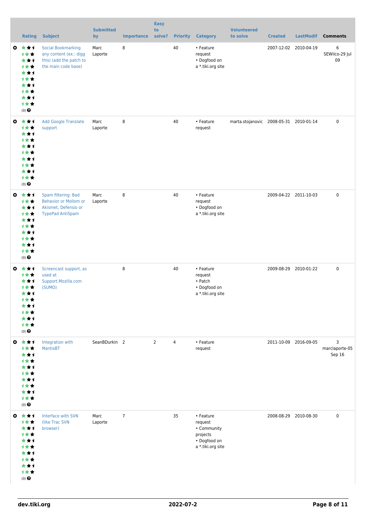|           | <b>Rating</b>                                                                                             | <b>Subject</b>                                                                                         | <b>Submitted</b><br>by | <b>Importance</b> | <b>Easy</b><br>to<br>solve? | <b>Priority</b> | <b>Category</b>                                                                      | <b>Volunteered</b><br>to solve         | <b>Created</b> | <b>LastModif</b>      | <b>Comments</b>               |
|-----------|-----------------------------------------------------------------------------------------------------------|--------------------------------------------------------------------------------------------------------|------------------------|-------------------|-----------------------------|-----------------|--------------------------------------------------------------------------------------|----------------------------------------|----------------|-----------------------|-------------------------------|
| €         | ***<br>***<br>***<br><b>1**</b><br>***<br>计女女<br>***<br>计女女<br>***<br>计女女<br>$(0)$ $\odot$                | <b>Social Bookmarking</b><br>any content (ex.: digg<br>this) (add the patch to<br>the main code base)  | Marc<br>Laporte        | 8                 |                             | 40              | • Feature<br>request<br>• Dogfood on<br>a *.tiki.org site                            |                                        |                | 2007-12-02 2010-04-19 | 6<br>SEWilco-29 Jul<br>09     |
| $\bullet$ | ***<br>计女女<br>***<br>计女女<br>***<br>计女女<br>***<br>计女女<br>***<br>计女女<br>$(0)$ $\Theta$                      | <b>Add Google Translate</b><br>support                                                                 | Marc<br>Laporte        | 8                 |                             | 40              | • Feature<br>request                                                                 | marta.stojanovic 2008-05-31 2010-01-14 |                |                       | 0                             |
| $\bullet$ | ***<br>计女女<br>***<br>计女女<br>***<br>计女女<br>***<br>计女女<br>***<br>计女女<br>$(0)$ $\odot$                       | Spam filtering: Bad<br><b>Behavior or Mollom or</b><br>Akismet, Defensio or<br><b>TypePad AntiSpam</b> | Marc<br>Laporte        | 8                 |                             | 40              | • Feature<br>request<br>• Dogfood on<br>a *.tiki.org site                            |                                        |                | 2009-04-22 2011-10-03 | $\mathbf 0$                   |
| $\bullet$ | ***<br>计女女<br>***<br>计女女<br>***<br>计女女<br>***<br>计女女<br>***<br>计女女<br>$(0)$<br>$\pmb{\Theta}$             | Screencast support, as<br>used at<br>Support.Mozilla.com<br>(SUMO)                                     |                        | 8                 |                             | 40              | • Feature<br>request<br>• Patch<br>• Dogfood on<br>a *.tiki.org site                 |                                        |                | 2009-08-29 2010-01-22 | $\pmb{0}$                     |
| $\bullet$ | ***<br>计女女<br>***<br>1★★<br>***<br>1★★<br>***<br>计女女<br>***<br>计女女<br>$(0)$<br>$\pmb{\Theta}$             | Integration with<br><b>MantisBT</b>                                                                    | SeanBDurkin 2          |                   | $\overline{2}$              | $\overline{4}$  | • Feature<br>request                                                                 |                                        |                | 2011-10-09 2016-09-05 | 3<br>marclaporte-05<br>Sep 16 |
| $\bullet$ | ***<br>1★★<br>***<br>1★★<br>***<br>计女女<br>***<br>计女女<br>***<br>计女女<br>$(0)$ <sup><math>\odot</math></sup> | Interface with SVN<br>(like Trac SVN<br>browser)                                                       | Marc<br>Laporte        | $7\overline{ }$   |                             | 35              | • Feature<br>request<br>• Community<br>projects<br>• Dogfood on<br>a *.tiki.org site |                                        |                | 2008-08-29 2010-08-30 | $\pmb{0}$                     |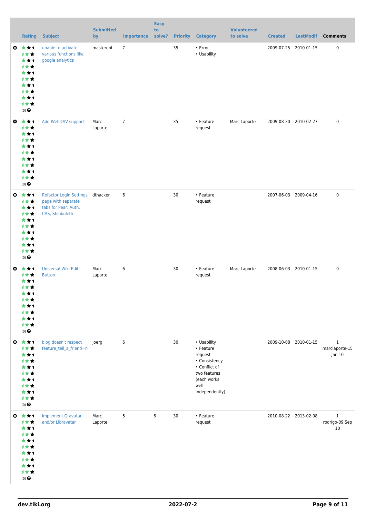|              | <b>Rating</b>                                                                                   | <b>Subject</b>                                                                                     | <b>Submitted</b><br>by | <b>Importance</b> | <b>Easy</b><br>to<br>solve? |    | <b>Priority Category</b>                                                                                                       | <b>Volunteered</b><br>to solve | <b>Created</b>        | <b>LastModif</b>      | <b>Comments</b>                          |
|--------------|-------------------------------------------------------------------------------------------------|----------------------------------------------------------------------------------------------------|------------------------|-------------------|-----------------------------|----|--------------------------------------------------------------------------------------------------------------------------------|--------------------------------|-----------------------|-----------------------|------------------------------------------|
|              | ◎ ★★1<br>1★★<br>***<br>1★★<br>***<br>1★★<br>***<br>计女女<br>***<br>计女女<br>$(0)$ $\odot$           | unable to activate<br>various functions like<br>google analytics                                   | masterdot              | $\overline{7}$    |                             | 35 | $\cdot$ Error<br>• Usability                                                                                                   |                                | 2009-07-25 2010-01-15 |                       | $\pmb{0}$                                |
| $\bullet$    | ***<br>1★★<br>***<br>1★★<br>***<br>1★★<br>***<br>计女女<br>***<br>计女女<br>$(0)$<br>$\pmb{\Theta}$   | Add WebDAV support                                                                                 | Marc<br>Laporte        | $\overline{7}$    |                             | 35 | • Feature<br>request                                                                                                           | Marc Laporte                   |                       | 2009-08-30 2010-02-27 | $\pmb{0}$                                |
| $\bullet$    | ***<br>1★★<br>***<br>计女女<br>***<br>1★★<br>***<br>1★★<br>***<br>计女女<br>$(0)$ $\odot$             | Refactor Login Settings dthacker<br>page with separate<br>tabs for Pear:: Auth,<br>CAS, Shibboleth |                        | 6                 |                             | 30 | • Feature<br>request                                                                                                           |                                |                       | 2007-06-03 2009-04-16 | $\mathbf 0$                              |
| $\mathbf{c}$ | ***<br>1**<br>***<br>1★★<br>***<br>计女女<br>* * 1<br>计女女<br>***<br>计女女<br>$(0)$<br>$\pmb{\Theta}$ | Universal Wiki Edit<br><b>Button</b>                                                               | Marc<br>Laporte        | 6                 |                             | 30 | • Feature<br>request                                                                                                           | Marc Laporte                   |                       | 2008-06-03 2010-01-15 | $\pmb{0}$                                |
|              | ◎ ★★1<br>计女女<br>***<br>计女女<br>***<br>计女女<br>***<br>计女女<br>***<br>计女女<br>$(0)$ $\odot$           | blog doesn't respect<br>feature_tell_a_friend=n                                                    | joerg                  | 6                 |                             | 30 | • Usability<br>• Feature<br>request<br>• Consistency<br>• Conflict of<br>two features<br>(each works<br>well<br>independently) |                                |                       | 2009-10-08 2010-01-15 | $\mathbf{1}$<br>marclaporte-15<br>Jan 10 |
|              | ◎ ★★1<br>1★★<br>***<br>1★★<br>***<br>计女女<br>***<br>计女女<br>***<br>计女女<br>$(0)$ $\odot$           | <b>Implement Gravatar</b><br>and/or Libravatar                                                     | Marc<br>Laporte        | 5                 | 6                           | 30 | • Feature<br>request                                                                                                           |                                |                       | 2010-08-22 2013-02-08 | $\mathbf{1}$<br>rodrigo-09 Sep<br>10     |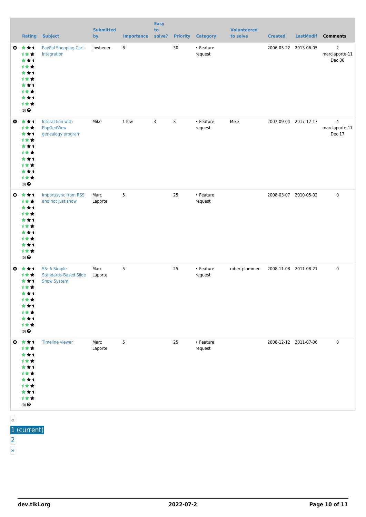|           | <b>Rating</b>                                                                                          | <b>Subject</b>                                              | <b>Submitted</b><br>by | <b>Importance solve?</b> | <b>Easy</b><br>to |    | <b>Priority Category</b> | <b>Volunteered</b><br>to solve | <b>Created</b>        | <b>LastModif</b>      | <b>Comments</b>                            |
|-----------|--------------------------------------------------------------------------------------------------------|-------------------------------------------------------------|------------------------|--------------------------|-------------------|----|--------------------------|--------------------------------|-----------------------|-----------------------|--------------------------------------------|
|           | $0 \star \star \star$<br>计女女<br>***<br>1★★<br>***<br>计女女<br>***<br>计女女<br>***<br>1★★<br>$(0)$ $\Theta$ | PayPal Shopping Cart<br>Integration                         | jhwheuer               | 6                        |                   | 30 | • Feature<br>request     |                                | 2006-05-22 2013-06-05 |                       | $\overline{2}$<br>marclaporte-11<br>Dec 06 |
| $\bullet$ | ***<br>计女女<br>***<br>1★★<br>***<br>计女女<br>***<br>计女女<br>***<br>计女女<br>$(0)$ $\Theta$                   | Interaction with<br>PhpGedView<br>genealogy program         | Mike                   | 1 low                    | 3                 | 3  | • Feature<br>request     | Mike                           |                       | 2007-09-04 2017-12-17 | $\overline{4}$<br>marclaporte-17<br>Dec 17 |
|           | ◎ ★★1<br>计女女<br>***<br>计女女<br>***<br>计女女<br>***<br>计女女<br>***<br>计女女<br>$(0)$ $\Theta$                 | Import/sync from RSS<br>and not just show                   | Marc<br>Laporte        | 5                        |                   | 25 | • Feature<br>request     |                                |                       | 2008-03-07 2010-05-02 | $\mathbf 0$                                |
|           | ◎ ★★1<br>计女女<br>***<br>计女女<br>***<br>1★★<br>***<br>1**<br>***<br>计女女<br>$(0)$<br>$\pmb{\Theta}$        | S5: A Simple<br><b>Standards-Based Slide</b><br>Show System | Marc<br>Laporte        | 5                        |                   | 25 | • Feature<br>request     | robertplummer                  |                       | 2008-11-08 2011-08-21 | $\mathbf 0$                                |
|           | ◎ ★★1<br>计女女<br>***<br>计女女<br>***<br>计女女<br>***<br>计女女<br>***<br>计女女<br>$(0)$<br>$\pmb{\Theta}$        | Timeline viewer                                             | Marc<br>Laporte        | 5                        |                   | 25 | • Feature<br>request     |                                |                       | 2008-12-12 2011-07-06 | $\mathbf 0$                                |

- «
- $\overline{1}$  (current)
- [2](https://dev.tiki.org/tiki-print.php?page=Interoperability&tr_offset3=20)
- [»](https://dev.tiki.org/tiki-print.php?page=Interoperability&tr_offset3=20)